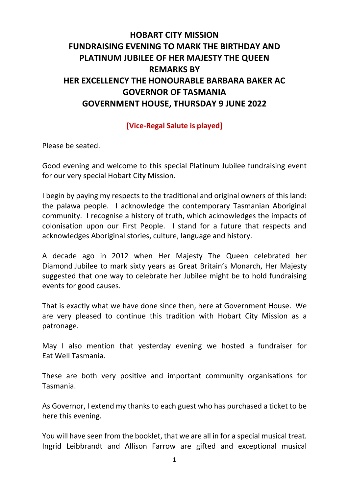## **HOBART CITY MISSION FUNDRAISING EVENING TO MARK THE BIRTHDAY AND PLATINUM JUBILEE OF HER MAJESTY THE QUEEN REMARKS BY HER EXCELLENCY THE HONOURABLE BARBARA BAKER AC GOVERNOR OF TASMANIA GOVERNMENT HOUSE, THURSDAY 9 JUNE 2022**

## **[Vice-Regal Salute is played]**

Please be seated.

Good evening and welcome to this special Platinum Jubilee fundraising event for our very special Hobart City Mission.

I begin by paying my respects to the traditional and original owners of this land: the palawa people. I acknowledge the contemporary Tasmanian Aboriginal community. I recognise a history of truth, which acknowledges the impacts of colonisation upon our First People. I stand for a future that respects and acknowledges Aboriginal stories, culture, language and history.

A decade ago in 2012 when Her Majesty The Queen celebrated her Diamond Jubilee to mark sixty years as Great Britain's Monarch, Her Majesty suggested that one way to celebrate her Jubilee might be to hold fundraising events for good causes.

That is exactly what we have done since then, here at Government House. We are very pleased to continue this tradition with Hobart City Mission as a patronage.

May I also mention that yesterday evening we hosted a fundraiser for Eat Well Tasmania.

These are both very positive and important community organisations for Tasmania.

As Governor, I extend my thanks to each guest who has purchased a ticket to be here this evening.

You will have seen from the booklet, that we are all in for a special musical treat. Ingrid Leibbrandt and Allison Farrow are gifted and exceptional musical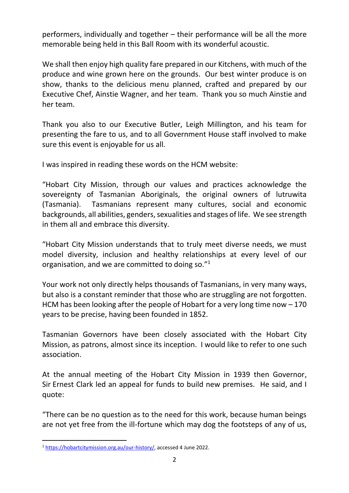performers, individually and together – their performance will be all the more memorable being held in this Ball Room with its wonderful acoustic.

We shall then enjoy high quality fare prepared in our Kitchens, with much of the produce and wine grown here on the grounds. Our best winter produce is on show, thanks to the delicious menu planned, crafted and prepared by our Executive Chef, Ainstie Wagner, and her team. Thank you so much Ainstie and her team.

Thank you also to our Executive Butler, Leigh Millington, and his team for presenting the fare to us, and to all Government House staff involved to make sure this event is enjoyable for us all.

I was inspired in reading these words on the HCM website:

"Hobart City Mission, through our values and practices acknowledge the sovereignty of Tasmanian Aboriginals, the original owners of lutruwita (Tasmania). Tasmanians represent many cultures, social and economic backgrounds, all abilities, genders, sexualities and stages of life. We see strength in them all and embrace this diversity.

"Hobart City Mission understands that to truly meet diverse needs, we must model diversity, inclusion and healthy relationships at every level of our organisation, and we are committed to doing so."<sup>1</sup>

Your work not only directly helps thousands of Tasmanians, in very many ways, but also is a constant reminder that those who are struggling are not forgotten. HCM has been looking after the people of Hobart for a very long time now – 170 years to be precise, having been founded in 1852.

Tasmanian Governors have been closely associated with the Hobart City Mission, as patrons, almost since its inception. I would like to refer to one such association.

At the annual meeting of the Hobart City Mission in 1939 then Governor, Sir Ernest Clark led an appeal for funds to build new premises. He said, and I quote:

"There can be no question as to the need for this work, because human beings are not yet free from the ill-fortune which may dog the footsteps of any of us,

<sup>&</sup>lt;sup>1</sup> [https://hobartcitymission.org.au/our-history/,](https://hobartcitymission.org.au/our-history/) accessed 4 June 2022.